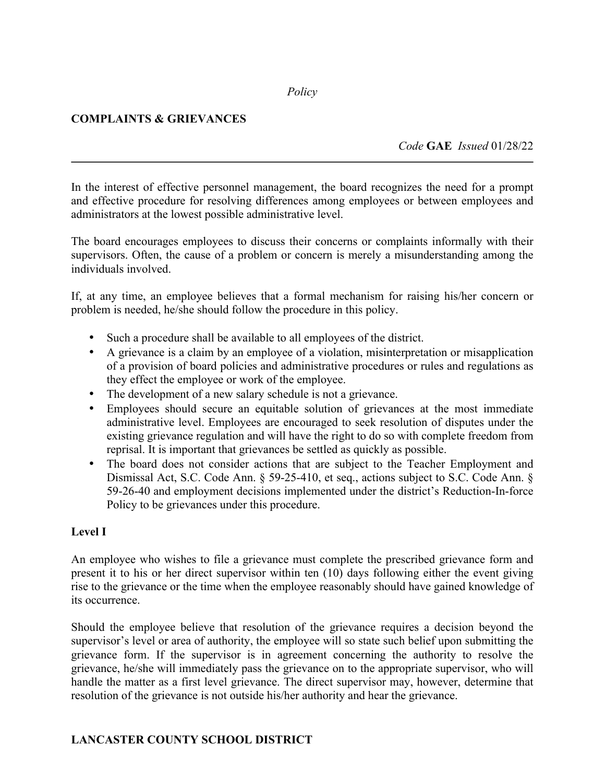#### *Policy*

## **COMPLAINTS & GRIEVANCES**

*Code* **GAE** *Issued* 01/28/22

In the interest of effective personnel management, the board recognizes the need for a prompt and effective procedure for resolving differences among employees or between employees and administrators at the lowest possible administrative level.

The board encourages employees to discuss their concerns or complaints informally with their supervisors. Often, the cause of a problem or concern is merely a misunderstanding among the individuals involved.

If, at any time, an employee believes that a formal mechanism for raising his/her concern or problem is needed, he/she should follow the procedure in this policy.

- Such a procedure shall be available to all employees of the district.
- A grievance is a claim by an employee of a violation, misinterpretation or misapplication of a provision of board policies and administrative procedures or rules and regulations as they effect the employee or work of the employee.
- The development of a new salary schedule is not a grievance.
- Employees should secure an equitable solution of grievances at the most immediate administrative level. Employees are encouraged to seek resolution of disputes under the existing grievance regulation and will have the right to do so with complete freedom from reprisal. It is important that grievances be settled as quickly as possible.
- The board does not consider actions that are subject to the Teacher Employment and Dismissal Act, S.C. Code Ann. § 59-25-410, et seq., actions subject to S.C. Code Ann. § 59-26-40 and employment decisions implemented under the district's Reduction-In-force Policy to be grievances under this procedure.

### **Level I**

An employee who wishes to file a grievance must complete the prescribed grievance form and present it to his or her direct supervisor within ten (10) days following either the event giving rise to the grievance or the time when the employee reasonably should have gained knowledge of its occurrence.

Should the employee believe that resolution of the grievance requires a decision beyond the supervisor's level or area of authority, the employee will so state such belief upon submitting the grievance form. If the supervisor is in agreement concerning the authority to resolve the grievance, he/she will immediately pass the grievance on to the appropriate supervisor, who will handle the matter as a first level grievance. The direct supervisor may, however, determine that resolution of the grievance is not outside his/her authority and hear the grievance.

### **LANCASTER COUNTY SCHOOL DISTRICT**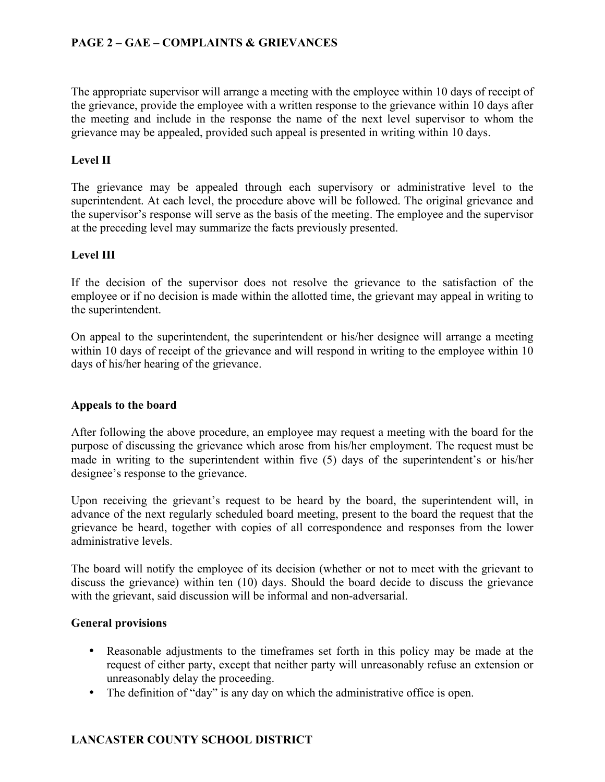## **PAGE 2 – GAE – COMPLAINTS & GRIEVANCES**

The appropriate supervisor will arrange a meeting with the employee within 10 days of receipt of the grievance, provide the employee with a written response to the grievance within 10 days after the meeting and include in the response the name of the next level supervisor to whom the grievance may be appealed, provided such appeal is presented in writing within 10 days.

### **Level II**

The grievance may be appealed through each supervisory or administrative level to the superintendent. At each level, the procedure above will be followed. The original grievance and the supervisor's response will serve as the basis of the meeting. The employee and the supervisor at the preceding level may summarize the facts previously presented.

### **Level III**

If the decision of the supervisor does not resolve the grievance to the satisfaction of the employee or if no decision is made within the allotted time, the grievant may appeal in writing to the superintendent.

On appeal to the superintendent, the superintendent or his/her designee will arrange a meeting within 10 days of receipt of the grievance and will respond in writing to the employee within 10 days of his/her hearing of the grievance.

#### **Appeals to the board**

After following the above procedure, an employee may request a meeting with the board for the purpose of discussing the grievance which arose from his/her employment. The request must be made in writing to the superintendent within five (5) days of the superintendent's or his/her designee's response to the grievance.

Upon receiving the grievant's request to be heard by the board, the superintendent will, in advance of the next regularly scheduled board meeting, present to the board the request that the grievance be heard, together with copies of all correspondence and responses from the lower administrative levels.

The board will notify the employee of its decision (whether or not to meet with the grievant to discuss the grievance) within ten (10) days. Should the board decide to discuss the grievance with the grievant, said discussion will be informal and non-adversarial.

#### **General provisions**

- Reasonable adjustments to the timeframes set forth in this policy may be made at the request of either party, except that neither party will unreasonably refuse an extension or unreasonably delay the proceeding.
- The definition of "day" is any day on which the administrative office is open.

### **LANCASTER COUNTY SCHOOL DISTRICT**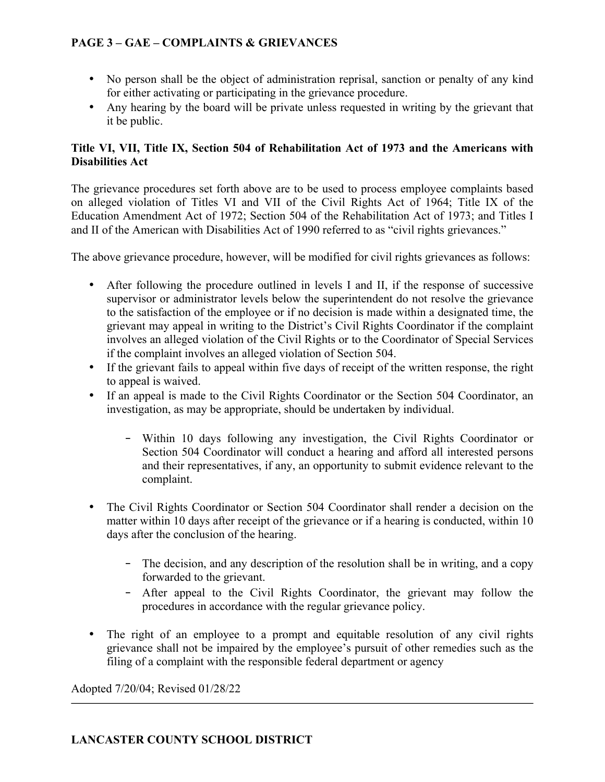# **PAGE 3 – GAE – COMPLAINTS & GRIEVANCES**

- No person shall be the object of administration reprisal, sanction or penalty of any kind for either activating or participating in the grievance procedure.
- Any hearing by the board will be private unless requested in writing by the grievant that it be public.

## **Title VI, VII, Title IX, Section 504 of Rehabilitation Act of 1973 and the Americans with Disabilities Act**

The grievance procedures set forth above are to be used to process employee complaints based on alleged violation of Titles VI and VII of the Civil Rights Act of 1964; Title IX of the Education Amendment Act of 1972; Section 504 of the Rehabilitation Act of 1973; and Titles I and II of the American with Disabilities Act of 1990 referred to as "civil rights grievances."

The above grievance procedure, however, will be modified for civil rights grievances as follows:

- After following the procedure outlined in levels I and II, if the response of successive supervisor or administrator levels below the superintendent do not resolve the grievance to the satisfaction of the employee or if no decision is made within a designated time, the grievant may appeal in writing to the District's Civil Rights Coordinator if the complaint involves an alleged violation of the Civil Rights or to the Coordinator of Special Services if the complaint involves an alleged violation of Section 504.
- If the grievant fails to appeal within five days of receipt of the written response, the right to appeal is waived.
- If an appeal is made to the Civil Rights Coordinator or the Section 504 Coordinator, an investigation, as may be appropriate, should be undertaken by individual.
	- ‑ Within 10 days following any investigation, the Civil Rights Coordinator or Section 504 Coordinator will conduct a hearing and afford all interested persons and their representatives, if any, an opportunity to submit evidence relevant to the complaint.
- The Civil Rights Coordinator or Section 504 Coordinator shall render a decision on the matter within 10 days after receipt of the grievance or if a hearing is conducted, within 10 days after the conclusion of the hearing.
	- ‑ The decision, and any description of the resolution shall be in writing, and a copy forwarded to the grievant.
	- ‑ After appeal to the Civil Rights Coordinator, the grievant may follow the procedures in accordance with the regular grievance policy.
- The right of an employee to a prompt and equitable resolution of any civil rights grievance shall not be impaired by the employee's pursuit of other remedies such as the filing of a complaint with the responsible federal department or agency

Adopted 7/20/04; Revised 01/28/22